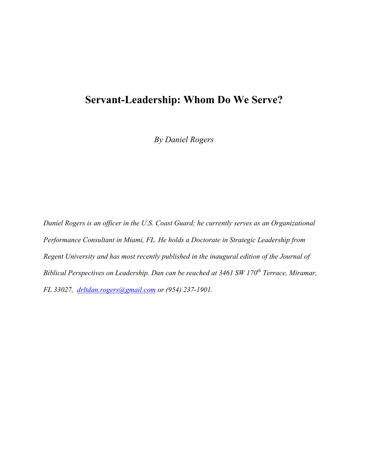# **Servant-Leadership: Whom Do We Serve?**

*By Daniel Rogers*

*Daniel Rogers is an officer in the U.S. Coast Guard; he currently serves as an Organizational Performance Consultant in Miami, FL. He holds a Doctorate in Strategic Leadership from Regent University and has most recently published in the inaugural edition of the Journal of Biblical Perspectives on Leadership. Dan can be reached at 3461 SW 170th Terrace, Miramar, FL 33027, drltdan.rogers@gmail.com or (954) 237-1901.*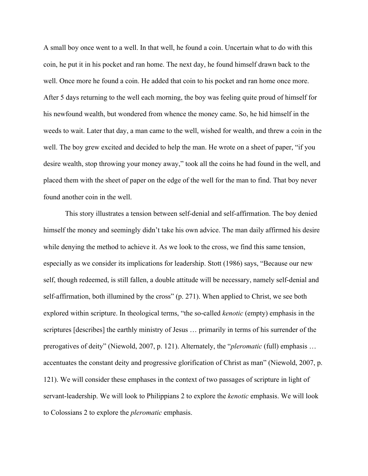A small boy once went to a well. In that well, he found a coin. Uncertain what to do with this coin, he put it in his pocket and ran home. The next day, he found himself drawn back to the well. Once more he found a coin. He added that coin to his pocket and ran home once more. After 5 days returning to the well each morning, the boy was feeling quite proud of himself for his newfound wealth, but wondered from whence the money came. So, he hid himself in the weeds to wait. Later that day, a man came to the well, wished for wealth, and threw a coin in the well. The boy grew excited and decided to help the man. He wrote on a sheet of paper, "if you desire wealth, stop throwing your money away," took all the coins he had found in the well, and placed them with the sheet of paper on the edge of the well for the man to find. That boy never found another coin in the well.

This story illustrates a tension between self-denial and self-affirmation. The boy denied himself the money and seemingly didn't take his own advice. The man daily affirmed his desire while denying the method to achieve it. As we look to the cross, we find this same tension, especially as we consider its implications for leadership. Stott (1986) says, "Because our new self, though redeemed, is still fallen, a double attitude will be necessary, namely self-denial and self-affirmation, both illumined by the cross" (p. 271). When applied to Christ, we see both explored within scripture. In theological terms, "the so-called *kenotic* (empty) emphasis in the scriptures [describes] the earthly ministry of Jesus … primarily in terms of his surrender of the prerogatives of deity" (Niewold, 2007, p. 121). Alternately, the "*pleromatic* (full) emphasis … accentuates the constant deity and progressive glorification of Christ as man" (Niewold, 2007, p. 121). We will consider these emphases in the context of two passages of scripture in light of servant-leadership. We will look to Philippians 2 to explore the *kenotic* emphasis. We will look to Colossians 2 to explore the *pleromatic* emphasis.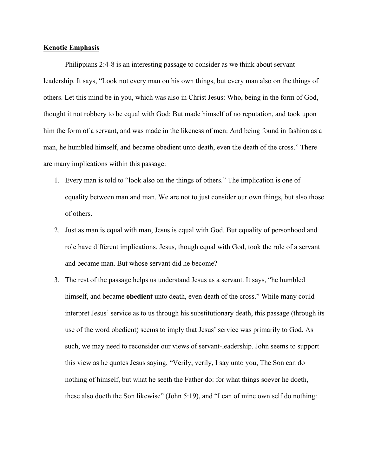### **Kenotic Emphasis**

Philippians 2:4-8 is an interesting passage to consider as we think about servant leadership. It says, "Look not every man on his own things, but every man also on the things of others. Let this mind be in you, which was also in Christ Jesus: Who, being in the form of God, thought it not robbery to be equal with God: But made himself of no reputation, and took upon him the form of a servant, and was made in the likeness of men: And being found in fashion as a man, he humbled himself, and became obedient unto death, even the death of the cross." There are many implications within this passage:

- 1. Every man is told to "look also on the things of others." The implication is one of equality between man and man. We are not to just consider our own things, but also those of others.
- 2. Just as man is equal with man, Jesus is equal with God. But equality of personhood and role have different implications. Jesus, though equal with God, took the role of a servant and became man. But whose servant did he become?
- 3. The rest of the passage helps us understand Jesus as a servant. It says, "he humbled himself, and became **obedient** unto death, even death of the cross." While many could interpret Jesus' service as to us through his substitutionary death, this passage (through its use of the word obedient) seems to imply that Jesus' service was primarily to God. As such, we may need to reconsider our views of servant-leadership. John seems to support this view as he quotes Jesus saying, "Verily, verily, I say unto you, The Son can do nothing of himself, but what he seeth the Father do: for what things soever he doeth, these also doeth the Son likewise" (John 5:19), and "I can of mine own self do nothing: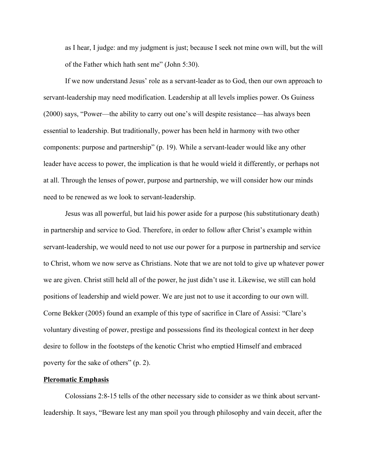as I hear, I judge: and my judgment is just; because I seek not mine own will, but the will of the Father which hath sent me" (John 5:30).

If we now understand Jesus' role as a servant-leader as to God, then our own approach to servant-leadership may need modification. Leadership at all levels implies power. Os Guiness (2000) says, "Power—the ability to carry out one's will despite resistance—has always been essential to leadership. But traditionally, power has been held in harmony with two other components: purpose and partnership" (p. 19). While a servant-leader would like any other leader have access to power, the implication is that he would wield it differently, or perhaps not at all. Through the lenses of power, purpose and partnership, we will consider how our minds need to be renewed as we look to servant-leadership.

Jesus was all powerful, but laid his power aside for a purpose (his substitutionary death) in partnership and service to God. Therefore, in order to follow after Christ's example within servant-leadership, we would need to not use our power for a purpose in partnership and service to Christ, whom we now serve as Christians. Note that we are not told to give up whatever power we are given. Christ still held all of the power, he just didn't use it. Likewise, we still can hold positions of leadership and wield power. We are just not to use it according to our own will. Corne Bekker (2005) found an example of this type of sacrifice in Clare of Assisi: "Clare's voluntary divesting of power, prestige and possessions find its theological context in her deep desire to follow in the footsteps of the kenotic Christ who emptied Himself and embraced poverty for the sake of others" (p. 2).

## **Pleromatic Emphasis**

Colossians 2:8-15 tells of the other necessary side to consider as we think about servantleadership. It says, "Beware lest any man spoil you through philosophy and vain deceit, after the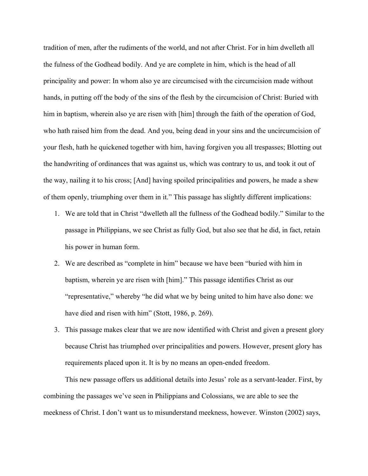tradition of men, after the rudiments of the world, and not after Christ. For in him dwelleth all the fulness of the Godhead bodily. And ye are complete in him, which is the head of all principality and power: In whom also ye are circumcised with the circumcision made without hands, in putting off the body of the sins of the flesh by the circumcision of Christ: Buried with him in baptism, wherein also ye are risen with [him] through the faith of the operation of God, who hath raised him from the dead. And you, being dead in your sins and the uncircumcision of your flesh, hath he quickened together with him, having forgiven you all trespasses; Blotting out the handwriting of ordinances that was against us, which was contrary to us, and took it out of the way, nailing it to his cross; [And] having spoiled principalities and powers, he made a shew of them openly, triumphing over them in it." This passage has slightly different implications:

- 1. We are told that in Christ "dwelleth all the fullness of the Godhead bodily." Similar to the passage in Philippians, we see Christ as fully God, but also see that he did, in fact, retain his power in human form.
- 2. We are described as "complete in him" because we have been "buried with him in baptism, wherein ye are risen with [him]." This passage identifies Christ as our "representative," whereby "he did what we by being united to him have also done: we have died and risen with him" (Stott, 1986, p. 269).
- 3. This passage makes clear that we are now identified with Christ and given a present glory because Christ has triumphed over principalities and powers. However, present glory has requirements placed upon it. It is by no means an open-ended freedom.

This new passage offers us additional details into Jesus' role as a servant-leader. First, by combining the passages we've seen in Philippians and Colossians, we are able to see the meekness of Christ. I don't want us to misunderstand meekness, however. Winston (2002) says,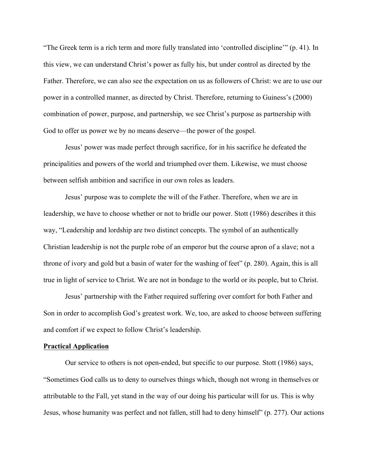"The Greek term is a rich term and more fully translated into 'controlled discipline'" (p. 41). In this view, we can understand Christ's power as fully his, but under control as directed by the Father. Therefore, we can also see the expectation on us as followers of Christ: we are to use our power in a controlled manner, as directed by Christ. Therefore, returning to Guiness's (2000) combination of power, purpose, and partnership, we see Christ's purpose as partnership with God to offer us power we by no means deserve—the power of the gospel.

Jesus' power was made perfect through sacrifice, for in his sacrifice he defeated the principalities and powers of the world and triumphed over them. Likewise, we must choose between selfish ambition and sacrifice in our own roles as leaders.

Jesus' purpose was to complete the will of the Father. Therefore, when we are in leadership, we have to choose whether or not to bridle our power. Stott (1986) describes it this way, "Leadership and lordship are two distinct concepts. The symbol of an authentically Christian leadership is not the purple robe of an emperor but the course apron of a slave; not a throne of ivory and gold but a basin of water for the washing of feet" (p. 280). Again, this is all true in light of service to Christ. We are not in bondage to the world or its people, but to Christ.

Jesus' partnership with the Father required suffering over comfort for both Father and Son in order to accomplish God's greatest work. We, too, are asked to choose between suffering and comfort if we expect to follow Christ's leadership.

#### **Practical Application**

Our service to others is not open-ended, but specific to our purpose. Stott (1986) says, "Sometimes God calls us to deny to ourselves things which, though not wrong in themselves or attributable to the Fall, yet stand in the way of our doing his particular will for us. This is why Jesus, whose humanity was perfect and not fallen, still had to deny himself" (p. 277). Our actions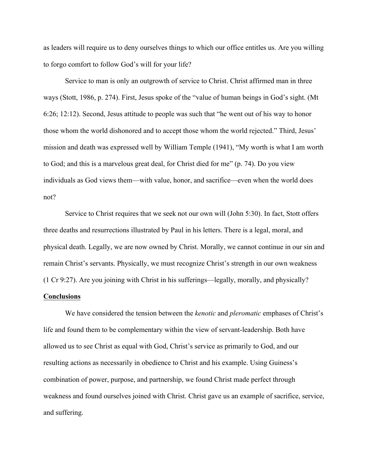as leaders will require us to deny ourselves things to which our office entitles us. Are you willing to forgo comfort to follow God's will for your life?

Service to man is only an outgrowth of service to Christ. Christ affirmed man in three ways (Stott, 1986, p. 274). First, Jesus spoke of the "value of human beings in God's sight. (Mt 6:26; 12:12). Second, Jesus attitude to people was such that "he went out of his way to honor those whom the world dishonored and to accept those whom the world rejected." Third, Jesus' mission and death was expressed well by William Temple (1941), "My worth is what I am worth to God; and this is a marvelous great deal, for Christ died for me" (p. 74). Do you view individuals as God views them—with value, honor, and sacrifice—even when the world does not?

Service to Christ requires that we seek not our own will (John 5:30). In fact, Stott offers three deaths and resurrections illustrated by Paul in his letters. There is a legal, moral, and physical death. Legally, we are now owned by Christ. Morally, we cannot continue in our sin and remain Christ's servants. Physically, we must recognize Christ's strength in our own weakness (1 Cr 9:27). Are you joining with Christ in his sufferings—legally, morally, and physically?

#### **Conclusions**

We have considered the tension between the *kenotic* and *pleromatic* emphases of Christ's life and found them to be complementary within the view of servant-leadership. Both have allowed us to see Christ as equal with God, Christ's service as primarily to God, and our resulting actions as necessarily in obedience to Christ and his example. Using Guiness's combination of power, purpose, and partnership, we found Christ made perfect through weakness and found ourselves joined with Christ. Christ gave us an example of sacrifice, service, and suffering.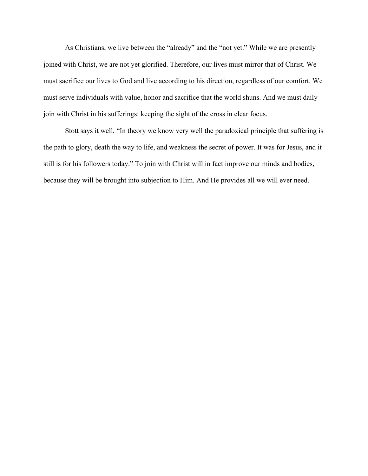As Christians, we live between the "already" and the "not yet." While we are presently joined with Christ, we are not yet glorified. Therefore, our lives must mirror that of Christ. We must sacrifice our lives to God and live according to his direction, regardless of our comfort. We must serve individuals with value, honor and sacrifice that the world shuns. And we must daily join with Christ in his sufferings: keeping the sight of the cross in clear focus.

Stott says it well, "In theory we know very well the paradoxical principle that suffering is the path to glory, death the way to life, and weakness the secret of power. It was for Jesus, and it still is for his followers today." To join with Christ will in fact improve our minds and bodies, because they will be brought into subjection to Him. And He provides all we will ever need.